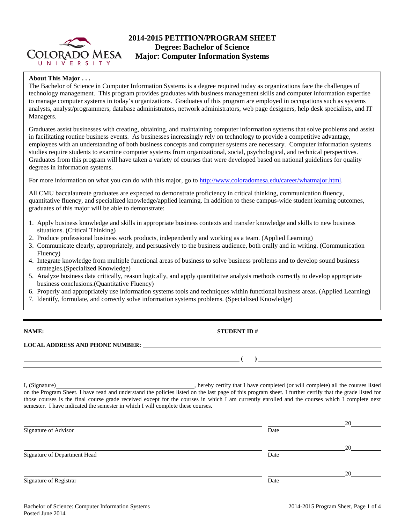

## **2014-2015 PETITION/PROGRAM SHEET Degree: Bachelor of Science Major: Computer Information Systems**

## **About This Major . . .**

The Bachelor of Science in Computer Information Systems is a degree required today as organizations face the challenges of technology management. This program provides graduates with business management skills and computer information expertise to manage computer systems in today's organizations. Graduates of this program are employed in occupations such as systems analysts, analyst/programmers, database administrators, network administrators, web page designers, help desk specialists, and IT Managers.

Graduates assist businesses with creating, obtaining, and maintaining computer information systems that solve problems and assist in facilitating routine business events. As businesses increasingly rely on technology to provide a competitive advantage, employees with an understanding of both business concepts and computer systems are necessary. Computer information systems studies require students to examine computer systems from organizational, social, psychological, and technical perspectives. Graduates from this program will have taken a variety of courses that were developed based on national guidelines for quality degrees in information systems.

For more information on what you can do with this major, go to [http://www.coloradomesa.edu/career/whatmajor.html.](http://www.coloradomesa.edu/career/whatmajor.html)

All CMU baccalaureate graduates are expected to demonstrate proficiency in critical thinking, communication fluency, quantitative fluency, and specialized knowledge/applied learning. In addition to these campus-wide student learning outcomes, graduates of this major will be able to demonstrate:

- 1. Apply business knowledge and skills in appropriate business contexts and transfer knowledge and skills to new business situations. (Critical Thinking)
- 2. Produce professional business work products, independently and working as a team. (Applied Learning)
- 3. Communicate clearly, appropriately, and persuasively to the business audience, both orally and in writing. (Communication Fluency)
- 4. Integrate knowledge from multiple functional areas of business to solve business problems and to develop sound business strategies.(Specialized Knowledge)
- 5. Analyze business data critically, reason logically, and apply quantitative analysis methods correctly to develop appropriate business conclusions.(Quantitative Fluency)
- 6. Properly and appropriately use information systems tools and techniques within functional business areas. (Applied Learning)
- 7. Identify, formulate, and correctly solve information systems problems. (Specialized Knowledge)

**NAME:** STUDENT ID #

## **LOCAL ADDRESS AND PHONE NUMBER:**

**( )** 

I, (Signature) , hereby certify that I have completed (or will complete) all the courses listed on the Program Sheet. I have read and understand the policies listed on the last page of this program sheet. I further certify that the grade listed for those courses is the final course grade received except for the courses in which I am currently enrolled and the courses which I complete next semester. I have indicated the semester in which I will complete these courses.

|                              |      | 20 |
|------------------------------|------|----|
| Signature of Advisor         | Date |    |
|                              |      |    |
|                              |      | 20 |
| Signature of Department Head | Date |    |
|                              |      |    |
|                              |      | 20 |
| Signature of Registrar       | Date |    |
|                              |      |    |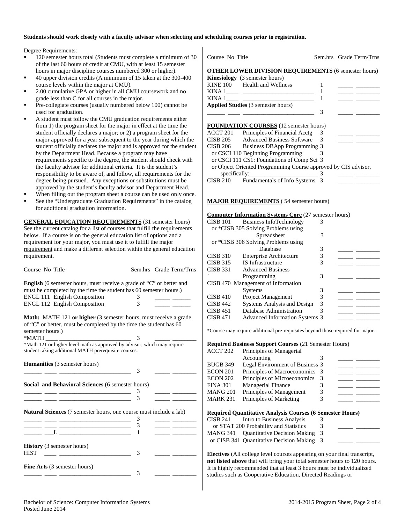## **Students should work closely with a faculty advisor when selecting and scheduling courses prior to registration.**

Degree Requirements:

- 120 semester hours total (Students must complete a minimum of 30 of the last 60 hours of credit at CMU, with at least 15 semester hours in major discipline courses numbered 300 or higher).
- 40 upper division credits (A minimum of 15 taken at the 300-400 course levels within the major at CMU).
- 2.00 cumulative GPA or higher in all CMU coursework and no grade less than C for all courses in the major.
- Pre-collegiate courses (usually numbered below 100) cannot be used for graduation.
- A student must follow the CMU graduation requirements either from 1) the program sheet for the major in effect at the time the student officially declares a major; or 2) a program sheet for the major approved for a year subsequent to the year during which the student officially declares the major and is approved for the student by the Department Head. Because a program may have requirements specific to the degree, the student should check with the faculty advisor for additional criteria. It is the student's responsibility to be aware of, and follow, all requirements for the degree being pursued. Any exceptions or substitutions must be approved by the student's faculty advisor and Department Head.
- When filling out the program sheet a course can be used only once.
- See the "Undergraduate Graduation Requirements" in the catalog for additional graduation information.

**GENERAL EDUCATION REQUIREMENTS** (31 semester hours) See the current catalog for a list of courses that fulfill the requirements below. If a course is on the general education list of options and a requirement for your major, you must use it to fulfill the major requirement and make a different selection within the general education requirement.

| Course No Title                                                                                                                                                                                                                                                                                              | Sem.hrs Grade Term/Trns |
|--------------------------------------------------------------------------------------------------------------------------------------------------------------------------------------------------------------------------------------------------------------------------------------------------------------|-------------------------|
| <b>English</b> (6 semester hours, must receive a grade of "C" or better and<br>must be completed by the time the student has 60 semester hours.)                                                                                                                                                             |                         |
| <b>ENGL 111 English Composition</b>                                                                                                                                                                                                                                                                          |                         |
| <b>ENGL 112 English Composition</b>                                                                                                                                                                                                                                                                          |                         |
| <b>Math:</b> MATH 121 or higher (3 semester hours, must receive a grade<br>$\alpha$ , and the contract of the contract of the contract of the contract of the contract of the contract of the contract of the contract of the contract of the contract of the contract of the contract of the contract of th |                         |

of "C" or better, must be completed by the time the student has 60 semester hours.)  $*$ MATH  $*$ 

\*Math 121 or higher level math as approved by advisor, which may require student taking additional MATH prerequisite courses.

 $\overline{\phantom{0}}$   $\overline{\phantom{0}}$   $\overline{\phantom{0}}$  3

**Humanities** (3 semester hours)

| Social and Behavioral Sciences (6 semester hours) |  |  |
|---------------------------------------------------|--|--|
|                                                   |  |  |
|                                                   |  |  |

**Natural Sciences** (7 semester hours, one course must include a lab)

| <b>History</b> (3 semester hours)<br><b>HIST</b> |  |
|--------------------------------------------------|--|
| Fine Arts (3 semester hours)                     |  |

Course No Title Sem.hrs Grade Term/Trns *OTHER LOWER DIVISION REQUIREMENTS* (6 semester hours) **Kinesiology** (3 semester hours)<br>KINE 100 Health and Wellne KINE 100 Health and Wellness 1 \_\_\_\_\_ \_\_\_\_\_\_\_\_ KINA 1\_\_\_\_ \_\_\_\_\_\_\_\_\_\_\_\_\_\_\_\_\_\_\_\_\_\_\_\_ 1 \_\_\_\_\_ \_\_\_\_\_\_\_\_ KINA  $1 \qquad \qquad$   $1$ **Applied Studies** (3 semester hours) \_\_\_\_\_\_ \_\_\_\_ \_\_\_\_\_\_\_\_\_\_\_\_\_\_\_\_\_\_\_\_\_\_\_\_ 3 \_\_\_\_\_ \_\_\_\_\_\_\_\_ **FOUNDATION COURSES** (12 semester hours) ACCT 201 Principles of Financial Acctg 3 CISB 205 Advanced Business Software 3 \_\_\_\_\_ \_\_\_\_\_\_\_\_ CISB 206 Business DBApp Programming 3 or CSCI 110 Beginning Programming 3 or CSCI 111 CS1: Foundations of Comp Sci 3 or Object Oriented Programming Course approved by CIS advisor,  $specifically:$   $\frac{3}{2}$ CISB 210 Fundamentals of Info Systems 3

### **MAJOR REQUIREMENTS** (54 semester hours)

#### **Computer Information Systems Core** (27 semester hours)

| <b>CISB 101</b><br><b>Business InfoTechnology</b>        | 3 |  |
|----------------------------------------------------------|---|--|
| or *CISB 305 Solving Problems using                      |   |  |
| Spreadsheet                                              | 3 |  |
| or *CISB 306 Solving Problems using                      |   |  |
| Database                                                 | 3 |  |
| <b>CISB 310</b><br>Enterprise Architecture               | 3 |  |
| <b>CISB 315</b><br><b>IS</b> Infrastructure              | 3 |  |
| <b>CISB 331</b><br><b>Advanced Business</b>              |   |  |
| Programming                                              | 3 |  |
| CISB 470 Management of Information                       |   |  |
| <b>Systems</b>                                           | 3 |  |
| <b>CISB 410</b><br><b>Project Management</b>             | 3 |  |
| Systems Analysis and Design<br><b>CISB 442</b>           | 3 |  |
| Database Administration<br><b>CISB 451</b>               | 3 |  |
| <b>CISB 471</b><br><b>Advanced Information Systems 3</b> |   |  |

\*Course may require additional pre-requisites beyond those required for major.

#### **Required Business Support Courses** (21 Semester Hours)

| ACCT 202 | Principles of Managerial        |  |  |
|----------|---------------------------------|--|--|
|          | Accounting                      |  |  |
| BUGB 349 | Legal Environment of Business 3 |  |  |
| ECON 201 | Principles of Macroeconomics 3  |  |  |
| ECON 202 | Principles of Microeconomics    |  |  |
| FINA 301 | <b>Managerial Finance</b>       |  |  |
| MANG 201 | Principles of Management        |  |  |
| MARK 231 | Principles of Marketing         |  |  |
|          |                                 |  |  |

#### **Required Quantitative Analysis Courses (6 Semester Hours)**

| CISB 241 | Intro to Business Analysis                 | к. |  |
|----------|--------------------------------------------|----|--|
|          | or STAT 200 Probability and Statistics     | 3  |  |
|          | MANG 341 Ouantitative Decision Making 3    |    |  |
|          | or CISB 341 Quantitative Decision Making 3 |    |  |
|          |                                            |    |  |

**Electives** (All college level courses appearing on your final transcript, **not listed above** that will bring your total semester hours to 120 hours. It is highly recommended that at least 3 hours must be individualized studies such as Cooperative Education, Directed Readings or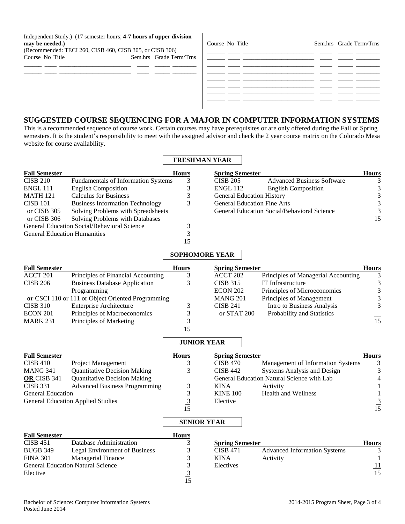Independent Study.) (17 semester hours; **4-7 hours of upper division may be needed.)**

| (Recommended: TECI 260, CISB 460, CISB 305, or CISB 306) |                         |
|----------------------------------------------------------|-------------------------|
| Course No Title                                          | Sem.hrs Grade Term/Trns |
|                                                          |                         |

 $\frac{\frac{1}{2} \left( \frac{1}{2} \right) \left( \frac{1}{2} \right) \left( \frac{1}{2} \right) \left( \frac{1}{2} \right) \left( \frac{1}{2} \right) \left( \frac{1}{2} \right) \left( \frac{1}{2} \right) \left( \frac{1}{2} \right) \left( \frac{1}{2} \right) \left( \frac{1}{2} \right) \left( \frac{1}{2} \right) \left( \frac{1}{2} \right) \left( \frac{1}{2} \right) \left( \frac{1}{2} \right) \left( \frac{1}{2} \right) \left( \frac{1}{2} \right) \left($ 

| Course No Title |                                                                                                                       |                                                                                                                      |  | Sem.hrs Grade Term/Trns |
|-----------------|-----------------------------------------------------------------------------------------------------------------------|----------------------------------------------------------------------------------------------------------------------|--|-------------------------|
|                 |                                                                                                                       |                                                                                                                      |  |                         |
|                 | <u> 1990 - Jan James James Barnett, amerikan bilang pada 1990 - pada 2001 - pada 2001 - pada 2001 - pada 2001 - p</u> |                                                                                                                      |  |                         |
|                 |                                                                                                                       |                                                                                                                      |  |                         |
|                 | <u> 1980 - Jan James James, martin al-Amerikaan (h. 1980).</u>                                                        |                                                                                                                      |  |                         |
|                 |                                                                                                                       | <u> 1989 - Jan James James James James James James James James James James James James James James James James J</u> |  |                         |
|                 |                                                                                                                       |                                                                                                                      |  |                         |
|                 |                                                                                                                       |                                                                                                                      |  |                         |

# **SUGGESTED COURSE SEQUENCING FOR A MAJOR IN COMPUTER INFORMATION SYSTEMS**

 $\blacksquare$ 

This is a recommended sequence of course work. Certain courses may have prerequisites or are only offered during the Fall or Spring semesters. It is the student's responsibility to meet with the assigned advisor and check the 2 year course matrix on the Colorado Mesa website for course availability.

|                                     |                                                   | <b>FRESHMAN YEAR</b>  |                        |                                             |                         |
|-------------------------------------|---------------------------------------------------|-----------------------|------------------------|---------------------------------------------|-------------------------|
| <b>Fall Semester</b>                |                                                   | Hours                 | <b>Spring Semester</b> |                                             | <b>Hours</b>            |
| <b>CISB 210</b>                     | Fundamentals of Information Systems               | 3                     | <b>CISB 205</b>        | <b>Advanced Business Software</b>           | 3                       |
| ENGL 111                            | <b>English Composition</b>                        | 3                     | ENGL 112               | <b>English Composition</b>                  | $\sqrt{3}$              |
| <b>MATH 121</b>                     | <b>Calculus for Business</b>                      | 3                     |                        | <b>General Education History</b>            | $\overline{\mathbf{3}}$ |
| <b>CISB 101</b>                     | <b>Business Information Technology</b>            | 3                     |                        | <b>General Education Fine Arts</b>          |                         |
| or CISB 305                         | Solving Problems with Spreadsheets                |                       |                        | General Education Social/Behavioral Science | $\frac{3}{15}$          |
| or CISB 306                         | Solving Problems with Databases                   |                       |                        |                                             |                         |
|                                     | General Education Social/Behavioral Science       | 3                     |                        |                                             |                         |
| <b>General Education Humanities</b> |                                                   | $\frac{3}{15}$        |                        |                                             |                         |
|                                     |                                                   |                       |                        |                                             |                         |
|                                     |                                                   | <b>SOPHOMORE YEAR</b> |                        |                                             |                         |
| <b>Fall Semester</b>                |                                                   | <b>Hours</b>          | <b>Spring Semester</b> |                                             | <b>Hours</b>            |
| ACCT 201                            | Principles of Financial Accounting                | 3                     | ACCT 202               | Principles of Managerial Accounting         | 3                       |
| <b>CISB 206</b>                     | <b>Business Database Application</b>              | 3                     | <b>CISB 315</b>        | IT Infrastructure                           | $\overline{3}$          |
|                                     | Programming                                       |                       | <b>ECON 202</b>        | Principles of Microeconomics                | $\mathfrak{Z}$          |
|                                     | or CSCI 110 or 111 or Object Oriented Programming |                       | <b>MANG 201</b>        | Principles of Management                    | $\overline{\mathbf{3}}$ |
| <b>CISB 310</b>                     | <b>Enterprise Architecture</b>                    | 3                     | <b>CISB 241</b>        | Intro to Business Analysis                  | $\overline{3}$          |
| ECON 201                            | Principles of Macroeconomics                      | 3                     | or STAT 200            | Probability and Statistics                  |                         |
| <b>MARK 231</b>                     | Principles of Marketing                           | $\overline{3}$        |                        |                                             | 15                      |
|                                     |                                                   | 15                    |                        |                                             |                         |
|                                     |                                                   | <b>JUNIOR YEAR</b>    |                        |                                             |                         |
| <b>Fall Semester</b>                |                                                   | <b>Hours</b>          | <b>Spring Semester</b> |                                             | <b>Hours</b>            |
| <b>CISB 410</b>                     | Project Management                                | 3                     | <b>CISB 470</b>        | Management of Information Systems           | 3                       |
| <b>MANG 341</b>                     | <b>Quantitative Decision Making</b>               | 3                     | <b>CISB 442</b>        | Systems Analysis and Design                 | 3                       |
| OR CISB 341                         | <b>Quantitative Decision Making</b>               |                       |                        | General Education Natural Science with Lab  | $\overline{4}$          |
| <b>CISB 331</b>                     | <b>Advanced Business Programming</b>              | 3                     | <b>KINA</b>            | Activity                                    | $\mathbf{1}$            |
| <b>General Education</b>            |                                                   | 3                     | <b>KINE 100</b>        | <b>Health and Wellness</b>                  | $\mathbf{1}$            |
|                                     | <b>General Education Applied Studies</b>          | $\overline{3}$        | Elective               |                                             | $\frac{3}{15}$          |
|                                     |                                                   | 15                    |                        |                                             |                         |
|                                     |                                                   | <b>SENIOR YEAR</b>    |                        |                                             |                         |
| <b>Fall Semester</b>                |                                                   | <b>Hours</b>          |                        |                                             |                         |
| <b>CISB 451</b>                     | Database Administration                           | 3                     | <b>Spring Semester</b> |                                             | <b>Hours</b>            |
| <b>BUGB 349</b>                     | Legal Environment of Business                     | 3                     | <b>CISB 471</b>        | <b>Advanced Information Systems</b>         | 3                       |
| <b>FINA 301</b>                     | Managerial Finance                                | 3                     | <b>KINA</b>            | Activity                                    | $\mathbf{1}$            |
|                                     | <b>General Education Natural Science</b>          | $\frac{3}{3}$         | Electives              |                                             | $\frac{11}{15}$         |
| Elective                            |                                                   |                       |                        |                                             |                         |
|                                     |                                                   | 15                    |                        |                                             |                         |